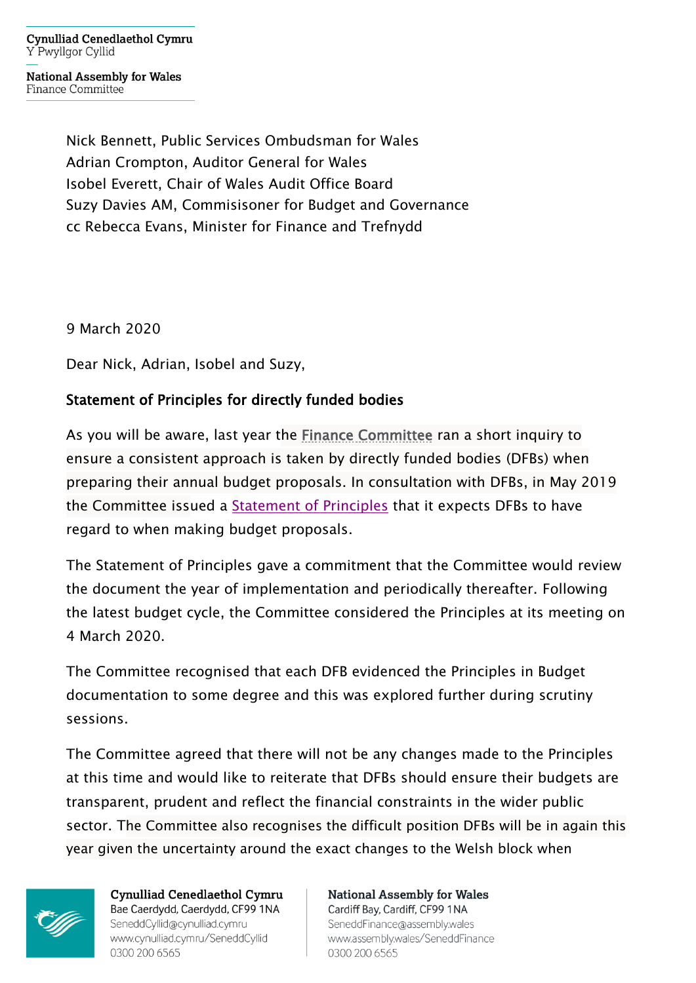**Cynulliad Cenedlaethol Cymru** Y Pwyllgor Cyllid

**National Assembly for Wales** Finance Committee

> Nick Bennett, Public Services Ombudsman for Wales Adrian Crompton, Auditor General for Wales Isobel Everett, Chair of Wales Audit Office Board Suzy Davies AM, Commisisoner for Budget and Governance cc Rebecca Evans, Minister for Finance and Trefnydd

9 March 2020

Dear Nick, Adrian, Isobel and Suzy,

## Statement of Principles for directly funded bodies

As you will be aware, last year the [Finance Committee](https://www.assembly.wales/en/bus-home/committees/Pages/Committee-Profile.aspx?cid=440) ran a short inquiry to ensure a consistent approach is taken by directly funded bodies (DFBs) when preparing their annual budget proposals. In consultation with DFBs, in May 2019 the Committee issued a [Statement of Principles](http://senedd.assembly.wales/documents/s88393/Statement%20of%20Principles%20-%20May%202019.pdf) that it expects DFBs to have regard to when making budget proposals.

The Statement of Principles gave a commitment that the Committee would review the document the year of implementation and periodically thereafter. Following the latest budget cycle, the Committee considered the Principles at its meeting on 4 March 2020.

The Committee recognised that each DFB evidenced the Principles in Budget documentation to some degree and this was explored further during scrutiny sessions.

The Committee agreed that there will not be any changes made to the Principles at this time and would like to reiterate that DFBs should ensure their budgets are transparent, prudent and reflect the financial constraints in the wider public sector. The Committee also recognises the difficult position DFBs will be in again this year given the uncertainty around the exact changes to the Welsh block when



**Cynulliad Cenedlaethol Cymru** Bae Caerdydd, Caerdydd, CF99 1NA SeneddCyllid@cynulliad.cymru www.cynulliad.cymru/SeneddCyllid 0300 200 6565

**National Assembly for Wales** Cardiff Bay, Cardiff, CF99 1NA SeneddFinance@assembly.wales www.assembly.wales/SeneddFinance 0300 200 6565